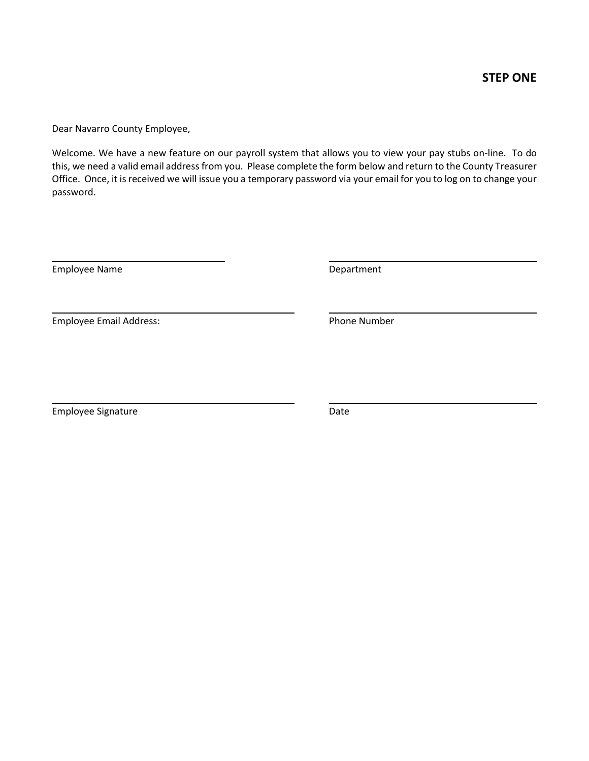Dear Navarro County Employee,

Welcome. We have a new feature on our payroll system that allows you to view your pay stubs on-line. To do this, we need a valid email address from you. Please complete the form below and return to the County Treasurer Office. Once, it is received we will issue you a temporary password via your email for you to log on to change your password.

Employee Name **Department** 

Employee Email Address: Notifiantly a state of the Phone Number

Employee Signature **Date** Date